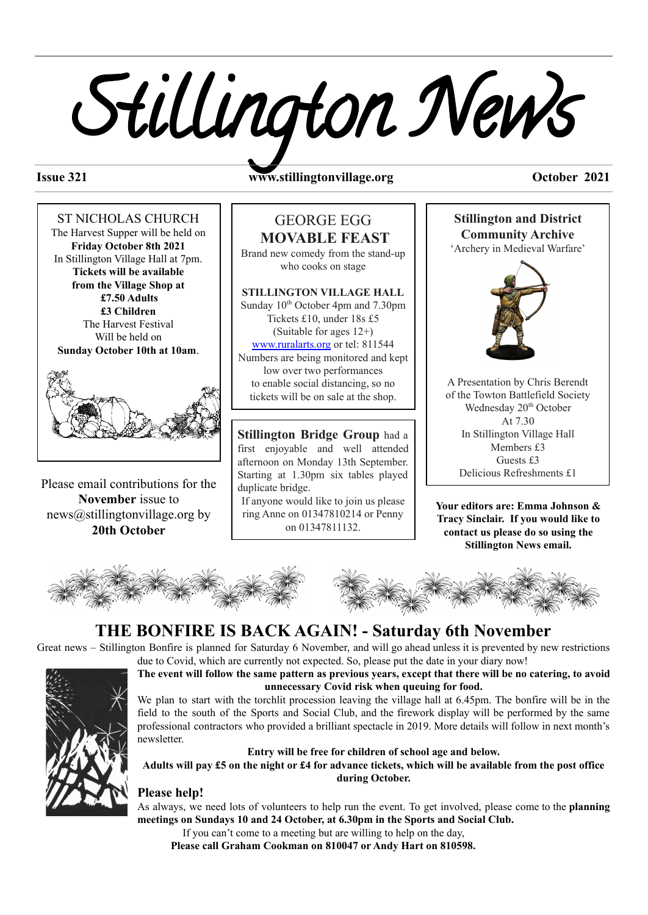# Stillington News

ST NICHOLAS CHURCH The Harvest Supper will be held on **Friday October 8th 2021** In Stillington Village Hall at 7pm. **Tickets will be available from the Village Shop at £7.50 Adults £3 Children** The Harvest Festival Will be held on

**Sunday October 10th at 10am**.

Please email contributions for the **November** issue to [news@stillingtonvillage.org](mailto:news@stillingtonvillage.org) by **20th October**

**Issue 321 www.stillingtonvillage.org October 2021**

GEORGE EGG **MOVABLE FEAST** Brand new comedy from the stand-up who cooks on stage

**STILLINGTON VILLAGE HALL** Sunday 10<sup>th</sup> October 4pm and 7.30pm Tickets £10, under 18s £5 (Suitable for ages 12+) [www.ruralarts.org](http://www.ruralarts.org/) or tel: 811544 Numbers are being monitored and kept low over two performances to enable social distancing, so no tickets will be on sale at the shop.

**Stillington Bridge Group** had a first enjoyable and well attended afternoon on Monday 13th September. Starting at 1.30pm six tables played

If anyone would like to join us please ring Anne on 01347810214 or Penny on 01347811132.

duplicate bridge.



**Your editors are: Emma Johnson & Tracy Sinclair. If you would like to contact us please do so using the Stillington News email.**



# **THE BONFIRE IS BACK AGAIN! - Saturday 6th November**

Great news – Stillington Bonfire is planned for Saturday 6 November, and will go ahead unless it is prevented by new restrictions due to Covid, which are currently not expected. So, please put the date in your diary now!



The event will follow the same pattern as previous years, except that there will be no catering, to avoid **unnecessary Covid risk when queuing for food.**

We plan to start with the torchlit procession leaving the village hall at 6.45pm. The bonfire will be in the field to the south of the Sports and Social Club, and the firework display will be performed by the same professional contractors who provided a brilliant spectacle in 2019. More details will follow in next month's newsletter.

#### **Entry will be free for children of school age and below.**

Adults will pay £5 on the night or  $£4$  for advance tickets, which will be available from the post office **during October.**

## **Please help!**

As always, we need lots of volunteers to help run the event. To get involved, please come to the **planning meetings on Sundays 10 and 24 October, at 6.30pm in the Sports and Social Club.**

If you can't come to a meeting but are willing to help on the day,

**Please call Graham Cookman on 810047 or Andy Hart on 810598.**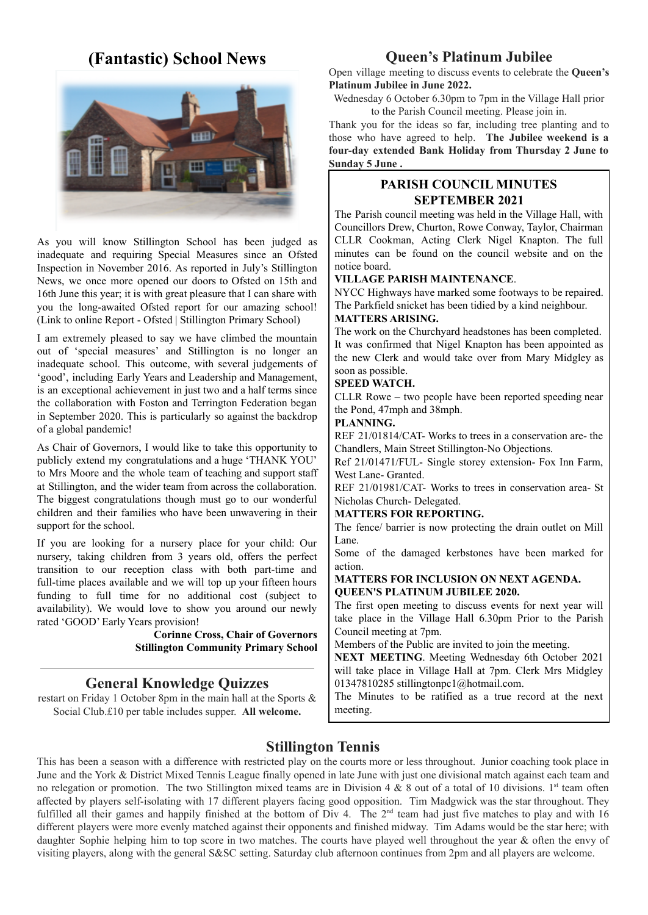## **(Fantastic) School News**



As you will know Stillington School has been judged as inadequate and requiring Special Measures since an Ofsted Inspection in November 2016. As reported in July's Stillington News, we once more opened our doors to Ofsted on 15th and 16th June this year; it is with great pleasure that I can share with you the long-awaited Ofsted report for our amazing school! (Link to online Report - Ofsted | Stillington Primary School)

I am extremely pleased to say we have climbed the mountain out of 'special measures' and Stillington is no longer an inadequate school. This outcome, with several judgements of 'good', including Early Years and Leadership and Management, is an exceptional achievement in just two and a half terms since the collaboration with Foston and Terrington Federation began in September 2020. This is particularly so against the backdrop of a global pandemic!

As Chair of Governors, I would like to take this opportunity to publicly extend my congratulations and a huge 'THANK YOU' to Mrs Moore and the whole team of teaching and support staff at Stillington, and the wider team from across the collaboration. The biggest congratulations though must go to our wonderful children and their families who have been unwavering in their support for the school.

If you are looking for a nursery place for your child: Our nursery, taking children from 3 years old, offers the perfect transition to our reception class with both part-time and full-time places available and we will top up your fifteen hours funding to full time for no additional cost (subject to availability). We would love to show you around our newly rated 'GOOD' Early Years provision!

> **Corinne Cross, Chair of Governors Stillington Community Primary School**

## **General Knowledge Quizzes**

restart on Friday 1 October 8pm in the main hall at the Sports & Social Club.£10 per table includes supper. **All welcome.**

## **Queen's Platinum Jubilee**

Open village meeting to discuss events to celebrate the **Queen's Platinum Jubilee in June 2022.**

Wednesday 6 October 6.30pm to 7pm in the Village Hall prior to the Parish Council meeting. Please join in.

Thank you for the ideas so far, including tree planting and to those who have agreed to help. **The Jubilee weekend is a four-day extended Bank Holiday from Thursday 2 June to Sunday 5 June .**

## **PARISH COUNCIL MINUTES SEPTEMBER 2021**

The Parish council meeting was held in the Village Hall, with Councillors Drew, Churton, Rowe Conway, Taylor, Chairman CLLR Cookman, Acting Clerk Nigel Knapton. The full minutes can be found on the council website and on the notice board.

#### **VILLAGE PARISH MAINTENANCE**.

NYCC Highways have marked some footways to be repaired. The Parkfield snicket has been tidied by a kind neighbour.

#### **MATTERS ARISING.**

The work on the Churchyard headstones has been completed. It was confirmed that Nigel Knapton has been appointed as the new Clerk and would take over from Mary Midgley as soon as possible.

#### **SPEED WATCH.**

CLLR Rowe – two people have been reported speeding near the Pond, 47mph and 38mph.

#### **PLANNING.**

REF 21/01814/CAT- Works to trees in a conservation are- the Chandlers, Main Street Stillington-No Objections.

Ref 21/01471/FUL- Single storey extension- Fox Inn Farm, West Lane- Granted.

REF 21/01981/CAT- Works to trees in conservation area- St Nicholas Church- Delegated.

#### **MATTERS FOR REPORTING.**

The fence/ barrier is now protecting the drain outlet on Mill Lane.

Some of the damaged kerbstones have been marked for action.

#### **MATTERS FOR INCLUSION ON NEXT AGENDA. QUEEN'S PLATINUM JUBILEE 2020.**

The first open meeting to discuss events for next year will take place in the Village Hall 6.30pm Prior to the Parish Council meeting at 7pm.

Members of the Public are invited to join the meeting.

**NEXT MEETING**. Meeting Wednesday 6th October 2021 will take place in Village Hall at 7pm. Clerk Mrs Midgley 01347810285 stillingtonpc1@hotmail.com.

The Minutes to be ratified as a true record at the next meeting.

## **Stillington Tennis**

This has been a season with a difference with restricted play on the courts more or less throughout. Junior coaching took place in June and the York & District Mixed Tennis League finally opened in late June with just one divisional match against each team and no relegation or promotion. The two Stillington mixed teams are in Division 4  $&$  8 out of a total of 10 divisions. 1<sup>st</sup> team often affected by players self-isolating with 17 different players facing good opposition. Tim Madgwick was the star throughout. They fulfilled all their games and happily finished at the bottom of Div 4. The  $2<sup>nd</sup>$  team had just five matches to play and with 16 different players were more evenly matched against their opponents and finished midway. Tim Adams would be the star here; with daughter Sophie helping him to top score in two matches. The courts have played well throughout the year & often the envy of visiting players, along with the general S&SC setting. Saturday club afternoon continues from 2pm and all players are welcome.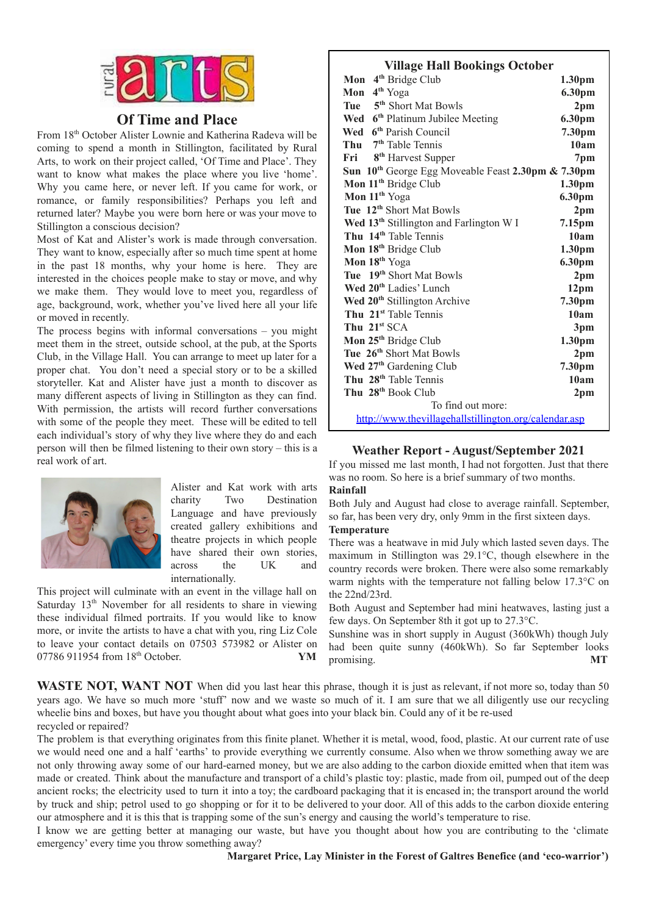

## **Of Time and Place**

From 18<sup>th</sup> October Alister Lownie and Katherina Radeva will be coming to spend a month in Stillington, facilitated by Rural Arts, to work on their project called, 'Of Time and Place'. They want to know what makes the place where you live 'home'. Why you came here, or never left. If you came for work, or romance, or family responsibilities? Perhaps you left and returned later? Maybe you were born here or was your move to Stillington a conscious decision?

Most of Kat and Alister's work is made through conversation. They want to know, especially after so much time spent at home in the past 18 months, why your home is here. They are interested in the choices people make to stay or move, and why we make them. They would love to meet you, regardless of age, background, work, whether you've lived here all your life or moved in recently.

The process begins with informal conversations – you might meet them in the street, outside school, at the pub, at the Sports Club, in the Village Hall. You can arrange to meet up later for a proper chat. You don't need a special story or to be a skilled storyteller. Kat and Alister have just a month to discover as many different aspects of living in Stillington as they can find. With permission, the artists will record further conversations with some of the people they meet. These will be edited to tell each individual's story of why they live where they do and each person will then be filmed listening to their own story – this is a real work of art.



Alister and Kat work with arts charity Two Destination Language and have previously created gallery exhibitions and theatre projects in which people have shared their own stories, across the UK and internationally.

This project will culminate with an event in the village hall on Saturday 13<sup>th</sup> November for all residents to share in viewing these individual filmed portraits. If you would like to know more, or invite the artists to have a chat with you, ring Liz Cole to leave your contact details on 07503 573982 or Alister on 07786 911954 from 18 th October. **YM**

## **Village Hall Bookings October**

|                                                       | $\frac{1}{2}$ mage than bookings october                       |                    |
|-------------------------------------------------------|----------------------------------------------------------------|--------------------|
| Mon                                                   | 4 <sup>th</sup> Bridge Club                                    | 1.30 <sub>pm</sub> |
| Mon                                                   | 4 <sup>th</sup> Yoga                                           | 6.30pm             |
| Tue                                                   | 5 <sup>th</sup> Short Mat Bowls                                | 2 <sub>pm</sub>    |
| Wed                                                   | 6 <sup>th</sup> Platinum Jubilee Meeting                       | 6.30pm             |
| Wed                                                   | 6 <sup>th</sup> Parish Council                                 | 7.30pm             |
| Thu                                                   | 7 <sup>th</sup> Table Tennis                                   | 10am               |
| Fri                                                   | 8 <sup>th</sup> Harvest Supper                                 | 7pm                |
|                                                       | Sun 10 <sup>th</sup> George Egg Moveable Feast 2.30pm & 7.30pm |                    |
|                                                       | Mon 11 <sup>th</sup> Bridge Club                               | 1.30 <sub>pm</sub> |
|                                                       | Mon 11 <sup>th</sup> Yoga                                      | 6.30pm             |
|                                                       | Tue 12 <sup>th</sup> Short Mat Bowls                           | 2 <sub>pm</sub>    |
|                                                       | Wed 13 <sup>th</sup> Stillington and Farlington W I            | 7.15pm             |
|                                                       | Thu 14 <sup>th</sup> Table Tennis                              | 10am               |
|                                                       | Mon 18 <sup>th</sup> Bridge Club                               | 1.30pm             |
|                                                       | Mon $18th$ Yoga                                                | 6.30pm             |
|                                                       | Tue 19 <sup>th</sup> Short Mat Bowls                           | 2 <sub>pm</sub>    |
|                                                       | Wed 20 <sup>th</sup> Ladies' Lunch                             | 12 <sub>pm</sub>   |
|                                                       | Wed 20 <sup>th</sup> Stillington Archive                       | 7.30pm             |
|                                                       | Thu 21 <sup>st</sup> Table Tennis                              | 10am               |
|                                                       | Thu $21st SCA$                                                 | 3pm                |
|                                                       | Mon 25 <sup>th</sup> Bridge Club                               | 1.30 <sub>pm</sub> |
|                                                       | Tue 26 <sup>th</sup> Short Mat Bowls                           | 2 <sub>pm</sub>    |
|                                                       | Wed 27 <sup>th</sup> Gardening Club                            | 7.30pm             |
|                                                       | Thu 28 <sup>th</sup> Table Tennis                              | 10am               |
|                                                       | Thu 28 <sup>th</sup> Book Club                                 | 2 <sub>pm</sub>    |
| To find out more:                                     |                                                                |                    |
| http://www.thevillagehallstillington.org/calendar.asp |                                                                |                    |

#### **Weather Report - August/September 2021**

If you missed me last month, I had not forgotten. Just that there was no room. So here is a brief summary of two months. **Rainfall**

Both July and August had close to average rainfall. September, so far, has been very dry, only 9mm in the first sixteen days. **Temperature**

There was a heatwave in mid July which lasted seven days. The maximum in Stillington was 29.1°C, though elsewhere in the country records were broken. There were also some remarkably warm nights with the temperature not falling below 17.3°C on the 22nd/23rd.

Both August and September had mini heatwaves, lasting just a few days. On September 8th it got up to 27.3°C.

Sunshine was in short supply in August (360kWh) though July had been quite sunny (460kWh). So far September looks promising. **MT**

**WASTE NOT, WANT NOT** When did you last hear this phrase, though it is just as relevant, if not more so, today than 50 years ago. We have so much more 'stuff' now and we waste so much of it. I am sure that we all diligently use our recycling wheelie bins and boxes, but have you thought about what goes into your black bin. Could any of it be re-used recycled or repaired?

The problem is that everything originates from this finite planet. Whether it is metal, wood, food, plastic. At our current rate of use we would need one and a half 'earths' to provide everything we currently consume. Also when we throw something away we are not only throwing away some of our hard-earned money, but we are also adding to the carbon dioxide emitted when that item was made or created. Think about the manufacture and transport of a child's plastic toy: plastic, made from oil, pumped out of the deep ancient rocks; the electricity used to turn it into a toy; the cardboard packaging that it is encased in; the transport around the world by truck and ship; petrol used to go shopping or for it to be delivered to your door. All of this adds to the carbon dioxide entering our atmosphere and it is this that is trapping some of the sun's energy and causing the world's temperature to rise.

I know we are getting better at managing our waste, but have you thought about how you are contributing to the 'climate emergency' every time you throw something away?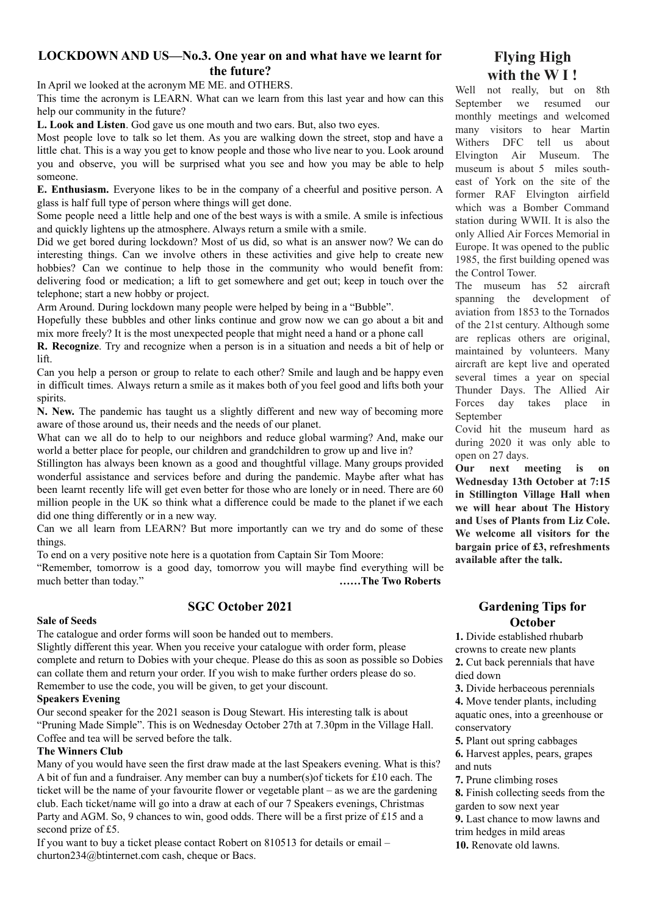## **LOCKDOWN AND US—No.3. One year on and what have we learnt for the future?**

In April we looked at the acronym ME ME. and OTHERS.

This time the acronym is LEARN. What can we learn from this last year and how can this help our community in the future?

**L. Look and Listen**. God gave us one mouth and two ears. But, also two eyes.

Most people love to talk so let them. As you are walking down the street, stop and have a little chat. This is a way you get to know people and those who live near to you. Look around you and observe, you will be surprised what you see and how you may be able to help someone.

**E. Enthusiasm.** Everyone likes to be in the company of a cheerful and positive person. A glass is half full type of person where things will get done.

Some people need a little help and one of the best ways is with a smile. A smile is infectious and quickly lightens up the atmosphere. Always return a smile with a smile.

Did we get bored during lockdown? Most of us did, so what is an answer now? We can do interesting things. Can we involve others in these activities and give help to create new hobbies? Can we continue to help those in the community who would benefit from: delivering food or medication; a lift to get somewhere and get out; keep in touch over the telephone; start a new hobby or project.

Arm Around. During lockdown many people were helped by being in a "Bubble".

Hopefully these bubbles and other links continue and grow now we can go about a bit and mix more freely? It is the most unexpected people that might need a hand or a phone call

**R. Recognize**. Try and recognize when a person is in a situation and needs a bit of help or lift.

Can you help a person or group to relate to each other? Smile and laugh and be happy even in difficult times. Always return a smile as it makes both of you feel good and lifts both your spirits.

**N. New.** The pandemic has taught us a slightly different and new way of becoming more aware of those around us, their needs and the needs of our planet.

What can we all do to help to our neighbors and reduce global warming? And, make our world a better place for people, our children and grandchildren to grow up and live in?

Stillington has always been known as a good and thoughtful village. Many groups provided wonderful assistance and services before and during the pandemic. Maybe after what has been learnt recently life will get even better for those who are lonely or in need. There are 60 million people in the UK so think what a difference could be made to the planet if we each did one thing differently or in a new way.

Can we all learn from LEARN? But more importantly can we try and do some of these things.

To end on a very positive note here is a quotation from Captain Sir Tom Moore:

"Remember, tomorrow is a good day, tomorrow you will maybe find everything will be much better than today." **……The Two Roberts**

#### **SGC October 2021**

#### **Sale of Seeds**

The catalogue and order forms will soon be handed out to members.

Slightly different this year. When you receive your catalogue with order form, please complete and return to Dobies with your cheque. Please do this as soon as possible so Dobies can collate them and return your order. If you wish to make further orders please do so. Remember to use the code, you will be given, to get your discount.

#### **Speakers Evening**

Our second speaker for the 2021 season is Doug Stewart. His interesting talk is about "Pruning Made Simple". This is on Wednesday October 27th at 7.30pm in the Village Hall. Coffee and tea will be served before the talk.

#### **The Winners Club**

Many of you would have seen the first draw made at the last Speakers evening. What is this? A bit of fun and a fundraiser. Any member can buy a number(s)of tickets for £10 each. The ticket will be the name of your favourite flower or vegetable plant – as we are the gardening club. Each ticket/name will go into a draw at each of our 7 Speakers evenings, Christmas Party and AGM. So, 9 chances to win, good odds. There will be a first prize of £15 and a second prize of £5.

If you want to buy a ticket please contact Robert on 810513 for details or email – churton234@btinternet.com cash, cheque or Bacs.

## **Flying High with the W I !**

Well not really, but on 8th September we resumed our monthly meetings and welcomed many visitors to hear Martin Withers DFC tell us about Elvington Air Museum. The museum is about 5 miles southeast of York on the site of the former RAF Elvington airfield which was a Bomber Command station during WWII. It is also the only Allied Air Forces Memorial in Europe. It was opened to the public 1985, the first building opened was the Control Tower.

The museum has 52 aircraft spanning the development of aviation from 1853 to the Tornados of the 21st century. Although some are replicas others are original, maintained by volunteers. Many aircraft are kept live and operated several times a year on special Thunder Days. The Allied Air Forces day takes place in September

Covid hit the museum hard as during 2020 it was only able to open on 27 days.

**Our next meeting is on Wednesday 13th October at 7:15 in Stillington Village Hall when we will hear about The History and Uses of Plants from Liz Cole. We welcome all visitors for the bargain price of £3, refreshments available after the talk.**

## **Gardening Tips for October**

**1.** Divide established rhubarb crowns to create new plants **2.** Cut back perennials that have died down

**3.** Divide herbaceous perennials

**4.** Move tender plants, including aquatic ones, into a greenhouse or conservatory

**5.** Plant out spring cabbages

**6.** Harvest apples, pears, grapes and nuts

**7.** Prune climbing roses

**8.** Finish collecting seeds from the garden to sow next year

**9.** Last chance to mow lawns and

trim hedges in mild areas

**10.** Renovate old lawns.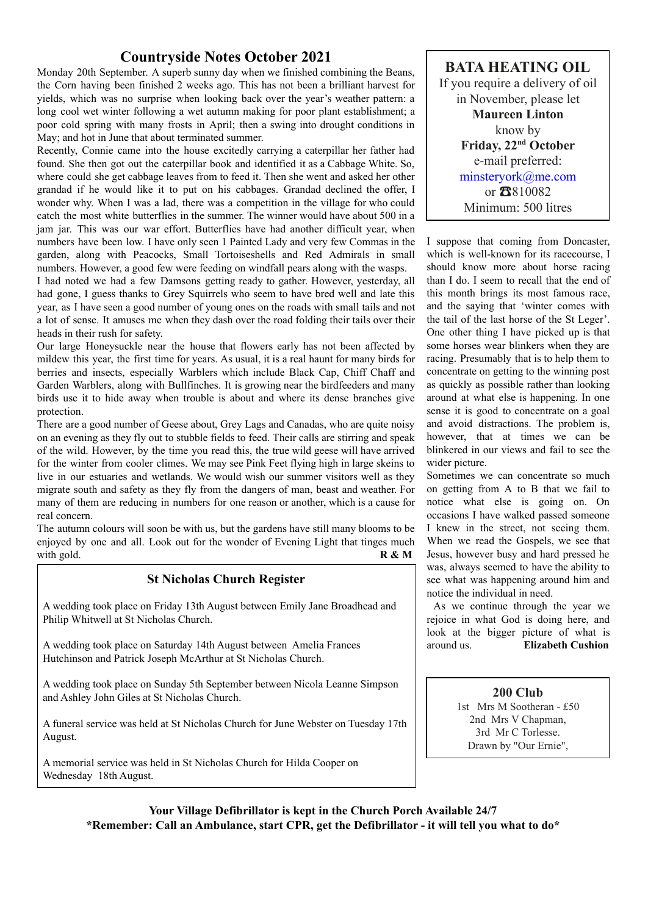## **Countryside Notes October 2021**

Monday 20th September. A superb sunny day when we finished combining the Beans, the Corn having been finished 2 weeks ago. This has not been a brilliant harvest for yields, which was no surprise when looking back over the year's weather pattern: a long cool wet winter following a wet autumn making for poor plant establishment; a poor cold spring with many frosts in April; then a swing into drought conditions in May; and hot in June that about terminated summer.

Recently, Connie came into the house excitedly carrying a caterpillar her father had found. She then got out the caterpillar book and identified it as a Cabbage White. So, where could she get cabbage leaves from to feed it. Then she went and asked her other grandad if he would like it to put on his cabbages. Grandad declined the offer, I wonder why. When I was a lad, there was a competition in the village for who could catch the most white butterflies in the summer. The winner would have about 500 in a jam jar. This was our war effort. Butterflies have had another difficult year, when numbers have been low. I have only seen 1 Painted Lady and very few Commas in the garden, along with Peacocks, Small Tortoiseshells and Red Admirals in small numbers. However, a good few were feeding on windfall pears along with the wasps.

I had noted we had a few Damsons getting ready to gather. However, yesterday, all had gone, I guess thanks to Grey Squirrels who seem to have bred well and late this year, as I have seen a good number of young ones on the roads with small tails and not a lot of sense. It amuses me when they dash over the road folding their tails over their heads in their rush for safety.

Our large Honeysuckle near the house that flowers early has not been affected by mildew this year, the first time for years. As usual, it is a real haunt for many birds for berries and insects, especially Warblers which include Black Cap, Chiff Chaff and Garden Warblers, along with Bullfinches. It is growing near the birdfeeders and many birds use it to hide away when trouble is about and where its dense branches give protection.

There are a good number of Geese about, Grey Lags and Canadas, who are quite noisy on an evening as they fly out to stubble fields to feed. Their calls are stirring and speak of the wild. However, by the time you read this, the true wild geese will have arrived for the winter from cooler climes. We may see Pink Feet flying high in large skeins to live in our estuaries and wetlands. We would wish our summer visitors well as they migrate south and safety as they fly from the dangers of man, beast and weather. For many of them are reducing in numbers for one reason or another, which is a cause for real concern.

The autumn colours will soon be with us, but the gardens have still many blooms to be enjoyed by one and all. Look out for the wonder of Evening Light that tinges much with gold. **R & M**

## **St Nicholas Church Register**

A wedding took place on Friday 13th August between Emily Jane Broadhead and Philip Whitwell at St Nicholas Church.

A wedding took place on Saturday 14th August between Amelia Frances Hutchinson and Patrick Joseph McArthur at St Nicholas Church.

A wedding took place on Sunday 5th September between Nicola Leanne Simpson and Ashley John Giles at St Nicholas Church.

A funeral service was held at St Nicholas Church for June Webster on Tuesday 17th August.

A memorial service was held in St Nicholas Church for Hilda Cooper on Wednesday 18th August.

## **BATA HEATING OIL** If you require a delivery of oil in November, please let **Maureen Linton** know by **Friday, 22nd October** e-mail preferred: minsteryork@me.com or ☎810082 Minimum: 500 litres

I suppose that coming from Doncaster, which is well-known for its racecourse, I should know more about horse racing than I do. I seem to recall that the end of this month brings its most famous race, and the saying that 'winter comes with the tail of the last horse of the St Leger'. One other thing I have picked up is that some horses wear blinkers when they are racing. Presumably that is to help them to concentrate on getting to the winning post as quickly as possible rather than looking around at what else is happening. In one sense it is good to concentrate on a goal and avoid distractions. The problem is, however, that at times we can be blinkered in our views and fail to see the wider picture.

Sometimes we can concentrate so much on getting from A to B that we fail to notice what else is going on. On occasions I have walked passed someone I knew in the street, not seeing them. When we read the Gospels, we see that Jesus, however busy and hard pressed he was, always seemed to have the ability to see what was happening around him and notice the individual in need.

As we continue through the year we rejoice in what God is doing here, and look at the bigger picture of what is around us. **Elizabeth Cushion**

> **200 Club** 1st Mrs M Sootheran - £50 2nd Mrs V Chapman, 3rd Mr C Torlesse. Drawn by "Our Ernie",

**Your Village Defibrillator is kept in the Church Porch Available 24/7 \*Remember: Call an Ambulance, start CPR, get the Defibrillator - it will tell you what to do\***